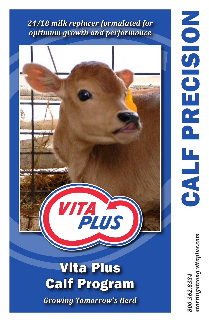## *24/18 milk replacer formulated for optimum growth and performance*



*800.362.8334 startingstrong.vitaplus.com*tartingstrong.vitaplus.com 00.362.8334